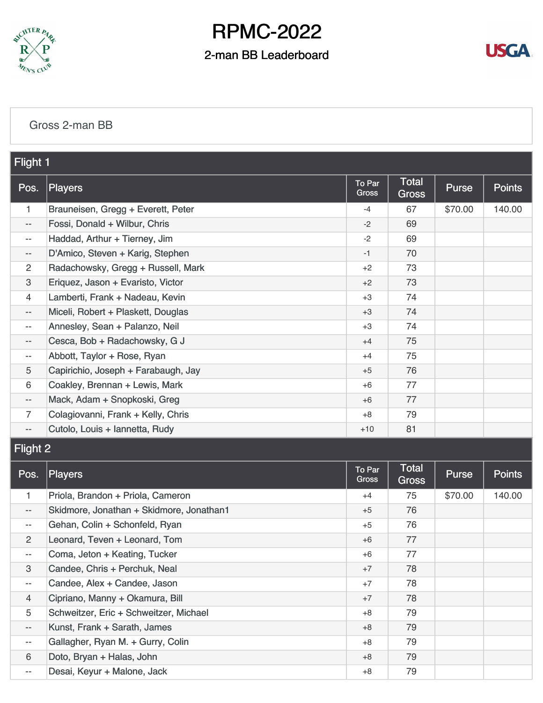

### 2-man BB Leaderboard



#### [Gross 2-man BB](https://static.golfgenius.com/v2tournaments/8419321081722086308?called_from=&round_index=2)

| Flight 1                 |                                          |                 |                       |              |               |
|--------------------------|------------------------------------------|-----------------|-----------------------|--------------|---------------|
| Pos.                     | <b>Players</b>                           | To Par<br>Gross | Total<br><b>Gross</b> | <b>Purse</b> | <b>Points</b> |
| 1                        | Brauneisen, Gregg + Everett, Peter       | $-4$            | 67                    | \$70.00      | 140.00        |
| $- -$                    | Fossi, Donald + Wilbur, Chris            | $-2$            | 69                    |              |               |
| $- -$                    | Haddad, Arthur + Tierney, Jim            | $-2$            | 69                    |              |               |
| --                       | D'Amico, Steven + Karig, Stephen         | $-1$            | 70                    |              |               |
| $\overline{2}$           | Radachowsky, Gregg + Russell, Mark       | $+2$            | 73                    |              |               |
| 3                        | Eriquez, Jason + Evaristo, Victor        | $+2$            | 73                    |              |               |
| 4                        | Lamberti, Frank + Nadeau, Kevin          | $+3$            | 74                    |              |               |
| $- -$                    | Miceli, Robert + Plaskett, Douglas       | $+3$            | 74                    |              |               |
| $-\,-$                   | Annesley, Sean + Palanzo, Neil           | $+3$            | 74                    |              |               |
| $- -$                    | Cesca, Bob + Radachowsky, G J            | $+4$            | 75                    |              |               |
| $- -$                    | Abbott, Taylor + Rose, Ryan              | $+4$            | 75                    |              |               |
| 5                        | Capirichio, Joseph + Farabaugh, Jay      | $+5$            | 76                    |              |               |
| 6                        | Coakley, Brennan + Lewis, Mark           | $+6$            | 77                    |              |               |
| $\overline{\phantom{a}}$ | Mack, Adam + Snopkoski, Greg             | $+6$            | 77                    |              |               |
| $\overline{7}$           | Colagiovanni, Frank + Kelly, Chris       | $+8$            | 79                    |              |               |
| $\overline{\phantom{a}}$ | Cutolo, Louis + Iannetta, Rudy           | $+10$           | 81                    |              |               |
| <b>Flight 2</b>          |                                          |                 |                       |              |               |
| Pos.                     | <b>Players</b>                           | To Par<br>Gross | Total<br><b>Gross</b> | Purse        | <b>Points</b> |
| 1.                       | Priola, Brandon + Priola, Cameron        | $+4$            | 75                    | \$70.00      | 140.00        |
| $\qquad \qquad -$        | Skidmore, Jonathan + Skidmore, Jonathan1 | $+5$            | 76                    |              |               |
| $\overline{\phantom{a}}$ | Gehan, Colin + Schonfeld, Ryan           | $+5$            | 76                    |              |               |
| $\overline{2}$           | Leonard, Teven + Leonard, Tom            | $+6$            | 77                    |              |               |
| --                       | Coma, Jeton + Keating, Tucker            | +6              | 77                    |              |               |
| 3                        | Candee, Chris + Perchuk, Neal            | $+7$            | 78                    |              |               |
| $\overline{\phantom{a}}$ | Candee, Alex + Candee, Jason             | $+7$            | 78                    |              |               |
| $\overline{4}$           | Cipriano, Manny + Okamura, Bill          | $+7$            | 78                    |              |               |
| 5                        | Schweitzer, Eric + Schweitzer, Michael   | $+8$            | 79                    |              |               |
| $\overline{\phantom{a}}$ | Kunst, Frank + Sarath, James             | $+8$            | 79                    |              |               |
| --                       | Gallagher, Ryan M. + Gurry, Colin        | $+8$            | 79                    |              |               |
| 6                        | Doto, Bryan + Halas, John                | $+8$            | 79                    |              |               |

-- [Desai, Keyur + Malone, Jack](https://static.golfgenius.com/tournaments2/details/8436864571225973682) 79

+8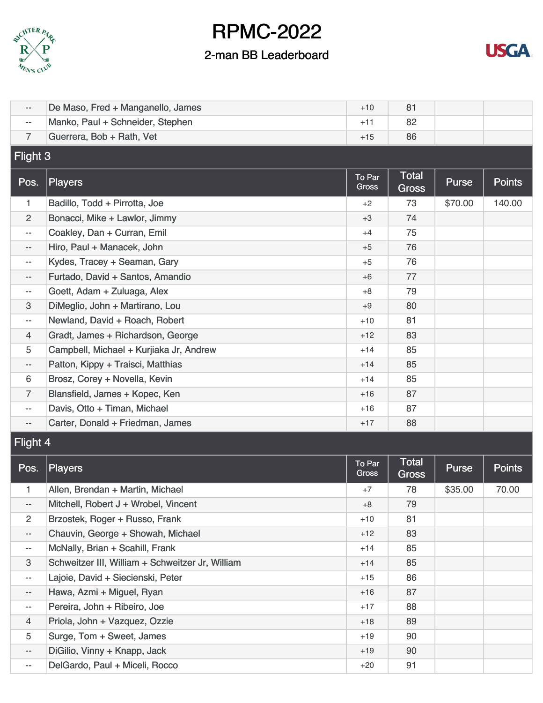



| $-\,-$                   | De Maso, Fred + Manganello, James                | $+10$           | 81                           |         |               |  |  |  |
|--------------------------|--------------------------------------------------|-----------------|------------------------------|---------|---------------|--|--|--|
| $\overline{\phantom{m}}$ | Manko, Paul + Schneider, Stephen                 | $+11$           | 82                           |         |               |  |  |  |
| $\overline{7}$           | Guerrera, Bob + Rath, Vet                        | $+15$           | 86                           |         |               |  |  |  |
|                          | Flight 3                                         |                 |                              |         |               |  |  |  |
| Pos.                     | <b>Players</b>                                   | To Par<br>Gross | <b>Total</b><br><b>Gross</b> | Purse   | <b>Points</b> |  |  |  |
| $\mathbf{1}$             | Badillo, Todd + Pirrotta, Joe                    | $+2$            | 73                           | \$70.00 | 140.00        |  |  |  |
| $\overline{c}$           | Bonacci, Mike + Lawlor, Jimmy                    | $+3$            | 74                           |         |               |  |  |  |
| $- -$                    | Coakley, Dan + Curran, Emil                      | $+4$            | 75                           |         |               |  |  |  |
| $\overline{\phantom{m}}$ | Hiro, Paul + Manacek, John                       | $+5$            | 76                           |         |               |  |  |  |
| $- -$                    | Kydes, Tracey + Seaman, Gary                     | $+5$            | 76                           |         |               |  |  |  |
| $-\, -$                  | Furtado, David + Santos, Amandio                 | $+6$            | 77                           |         |               |  |  |  |
| $\overline{\phantom{m}}$ | Goett, Adam + Zuluaga, Alex                      | $+8$            | 79                           |         |               |  |  |  |
| 3                        | DiMeglio, John + Martirano, Lou                  | $+9$            | 80                           |         |               |  |  |  |
| $\overline{\phantom{m}}$ | Newland, David + Roach, Robert                   | $+10$           | 81                           |         |               |  |  |  |
| $\overline{4}$           | Gradt, James + Richardson, George                | $+12$           | 83                           |         |               |  |  |  |
| 5                        | Campbell, Michael + Kurjiaka Jr, Andrew          | $+14$           | 85                           |         |               |  |  |  |
| $\overline{\phantom{a}}$ | Patton, Kippy + Traisci, Matthias                | $+14$           | 85                           |         |               |  |  |  |
| 6                        | Brosz, Corey + Novella, Kevin                    | $+14$           | 85                           |         |               |  |  |  |
| 7                        | Blansfield, James + Kopec, Ken                   | $+16$           | 87                           |         |               |  |  |  |
| $\overline{\phantom{m}}$ | Davis, Otto + Timan, Michael                     | $+16$           | 87                           |         |               |  |  |  |
| $-\,$                    | Carter, Donald + Friedman, James                 | $+17$           | 88                           |         |               |  |  |  |
| Flight 4                 |                                                  |                 |                              |         |               |  |  |  |
| Pos.                     | <b>Players</b>                                   | To Par<br>Gross | <b>Total</b><br><b>Gross</b> | Purse   | <b>Points</b> |  |  |  |
| $\mathbf{1}$             | Allen, Brendan + Martin, Michael                 | $+7$            | 78                           | \$35.00 | 70.00         |  |  |  |
| $\overline{\phantom{m}}$ | Mitchell, Robert J + Wrobel, Vincent             | +8              | 79                           |         |               |  |  |  |
| 2                        | Brzostek, Roger + Russo, Frank                   | $+10$           | 81                           |         |               |  |  |  |
| $\overline{\phantom{a}}$ | Chauvin, George + Showah, Michael                | $+12$           | 83                           |         |               |  |  |  |
| $\overline{\phantom{m}}$ | McNally, Brian + Scahill, Frank                  | $+14$           | 85                           |         |               |  |  |  |
| 3                        | Schweitzer III, William + Schweitzer Jr, William | $+14$           | 85                           |         |               |  |  |  |
| $-\!$                    | Lajoie, David + Siecienski, Peter                | $+15$           | 86                           |         |               |  |  |  |
| $-\, -$                  | Hawa, Azmi + Miguel, Ryan                        | $+16$           | 87                           |         |               |  |  |  |
| $\overline{\phantom{a}}$ | Pereira, John + Ribeiro, Joe                     | $+17$           | 88                           |         |               |  |  |  |
| 4                        | Priola, John + Vazquez, Ozzie                    | $+18$           | 89                           |         |               |  |  |  |
| 5                        | Surge, Tom + Sweet, James                        | $+19$           | 90                           |         |               |  |  |  |
| $-\hbox{--}$             | DiGilio, Vinny + Knapp, Jack                     | $+19$           | 90                           |         |               |  |  |  |
| $\overline{\phantom{a}}$ | DelGardo, Paul + Miceli, Rocco                   | $+20$           | 91                           |         |               |  |  |  |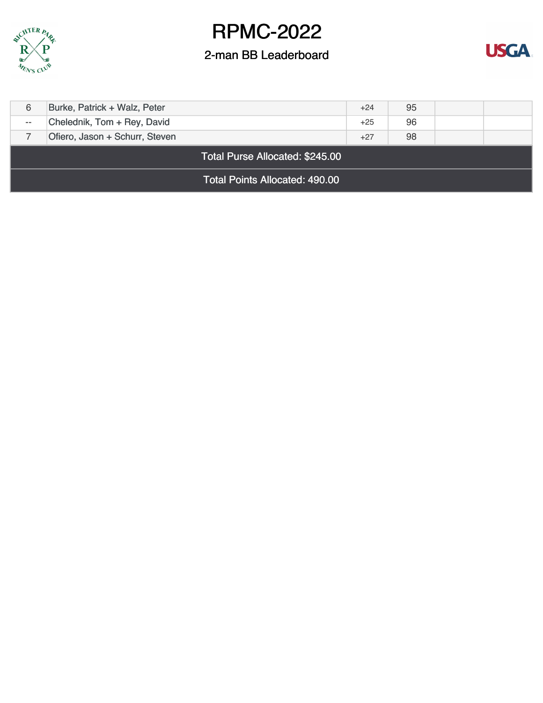



| <b>Total Points Allocated: 490.00</b> |                                 |       |    |  |  |  |
|---------------------------------------|---------------------------------|-------|----|--|--|--|
|                                       | Total Purse Allocated: \$245.00 |       |    |  |  |  |
|                                       | Ofiero, Jason + Schurr, Steven  | $+27$ | 98 |  |  |  |
| $\sim$ $\sim$                         | Chelednik, Tom + Rey, David     | $+25$ | 96 |  |  |  |
| 6                                     | Burke, Patrick + Walz, Peter    | $+24$ | 95 |  |  |  |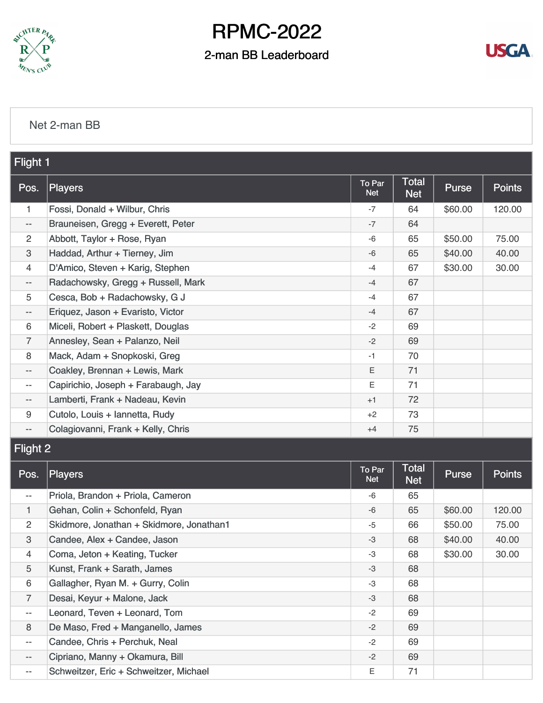

### 2-man BB Leaderboard



#### [Net 2-man BB](https://static.golfgenius.com/v2tournaments/8419321085077529509?called_from=&round_index=2)

| Flight 1                  |                                          |                      |                            |         |               |
|---------------------------|------------------------------------------|----------------------|----------------------------|---------|---------------|
| Pos.                      | Players                                  | To Par<br><b>Net</b> | <b>Total</b><br><b>Net</b> | Purse   | <b>Points</b> |
| 1                         | Fossi, Donald + Wilbur, Chris            | $-7$                 | 64                         | \$60.00 | 120.00        |
| $-\hbox{--}$              | Brauneisen, Gregg + Everett, Peter       | -7                   | 64                         |         |               |
| $\overline{c}$            | Abbott, Taylor + Rose, Ryan              | -6                   | 65                         | \$50.00 | 75.00         |
| $\ensuremath{\mathsf{3}}$ | Haddad, Arthur + Tierney, Jim            | $-6$                 | 65                         | \$40.00 | 40.00         |
| 4                         | D'Amico, Steven + Karig, Stephen         | -4                   | 67                         | \$30.00 | 30.00         |
| $\overline{\phantom{a}}$  | Radachowsky, Gregg + Russell, Mark       | -4                   | 67                         |         |               |
| 5                         | Cesca, Bob + Radachowsky, G J            | $-4$                 | 67                         |         |               |
| --                        | Eriquez, Jason + Evaristo, Victor        | $-4$                 | 67                         |         |               |
| 6                         | Miceli, Robert + Plaskett, Douglas       | $-2$                 | 69                         |         |               |
| $\overline{7}$            | Annesley, Sean + Palanzo, Neil           | $-2$                 | 69                         |         |               |
| 8                         | Mack, Adam + Snopkoski, Greg             | $-1$                 | 70                         |         |               |
| $\overline{\phantom{m}}$  | Coakley, Brennan + Lewis, Mark           | Ε                    | 71                         |         |               |
| --                        | Capirichio, Joseph + Farabaugh, Jay      | Ε                    | 71                         |         |               |
| $-\,-$                    | Lamberti, Frank + Nadeau, Kevin          | $+1$                 | 72                         |         |               |
| 9                         | Cutolo, Louis + Iannetta, Rudy           | $+2$                 | 73                         |         |               |
| $\overline{\phantom{a}}$  | Colagiovanni, Frank + Kelly, Chris       | $+4$                 | 75                         |         |               |
| <b>Flight 2</b>           |                                          |                      |                            |         |               |
| Pos.                      | <b>Players</b>                           | To Par<br><b>Net</b> | Total<br><b>Net</b>        | Purse   | <b>Points</b> |
| $\overline{\phantom{m}}$  | Priola, Brandon + Priola, Cameron        | -6                   | 65                         |         |               |
| $\mathbf{1}$              | Gehan, Colin + Schonfeld, Ryan           | -6                   | 65                         | \$60.00 | 120.00        |
| $\overline{2}$            | Skidmore, Jonathan + Skidmore, Jonathan1 | -5                   | 66                         | \$50.00 | 75.00         |
| $\ensuremath{\mathsf{3}}$ | Candee, Alex + Candee, Jason             | -3                   | 68                         | \$40.00 | 40.00         |
| 4                         | Coma, Jeton + Keating, Tucker            | -3                   | 68                         | \$30.00 | 30.00         |
| 5                         | Kunst, Frank + Sarath, James             | -3                   | 68                         |         |               |
| 6                         | Gallagher, Ryan M. + Gurry, Colin        | -3                   | 68                         |         |               |
| $\overline{7}$            | Desai, Keyur + Malone, Jack              | -3                   | 68                         |         |               |
| $\overline{\phantom{m}}$  | Leonard, Teven + Leonard, Tom            | $-2$                 | 69                         |         |               |
| 8                         | De Maso, Fred + Manganello, James        | $-2$                 | 69                         |         |               |
| --                        | Candee, Chris + Perchuk, Neal            | $-2$                 | 69                         |         |               |
| --                        | Cipriano, Manny + Okamura, Bill          | $-2$                 | 69                         |         |               |
| --                        | Schweitzer, Eric + Schweitzer, Michael   | Е                    | 71                         |         |               |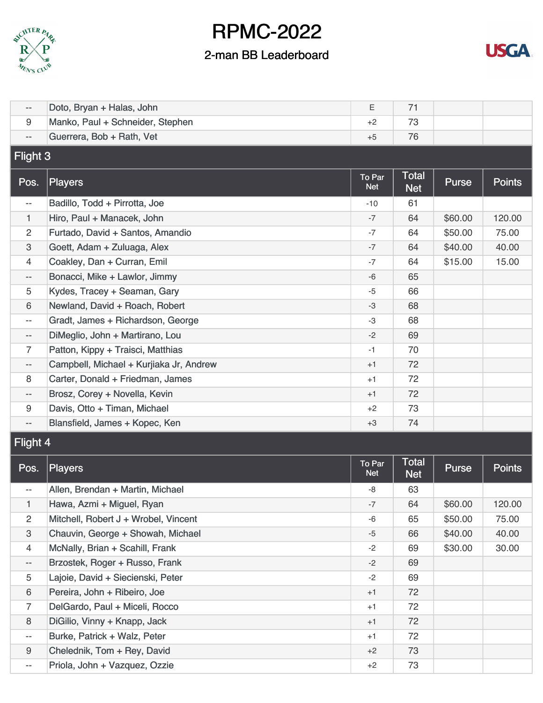



| $\overline{\phantom{a}}$ | Doto, Bryan + Halas, John               | Ε                    | 71                         |         |               |  |  |  |
|--------------------------|-----------------------------------------|----------------------|----------------------------|---------|---------------|--|--|--|
| 9                        | Manko, Paul + Schneider, Stephen        | $+2$                 | 73                         |         |               |  |  |  |
| $\overline{\phantom{a}}$ | Guerrera, Bob + Rath, Vet               | 76                   |                            |         |               |  |  |  |
| Flight 3                 |                                         |                      |                            |         |               |  |  |  |
| Pos.                     | Players                                 | To Par<br><b>Net</b> | <b>Total</b><br><b>Net</b> | Purse   | <b>Points</b> |  |  |  |
| $\overline{\phantom{a}}$ | Badillo, Todd + Pirrotta, Joe           | $-10$                | 61                         |         |               |  |  |  |
| 1                        | Hiro, Paul + Manacek, John              | $-7$                 | 64                         | \$60.00 | 120.00        |  |  |  |
| 2                        | Furtado, David + Santos, Amandio        | $-7$                 | 64                         | \$50.00 | 75.00         |  |  |  |
| 3                        | Goett, Adam + Zuluaga, Alex             | $-7$                 | 64                         | \$40.00 | 40.00         |  |  |  |
| 4                        | Coakley, Dan + Curran, Emil             | $-7$                 | 64                         | \$15.00 | 15.00         |  |  |  |
| $-\,-$                   | Bonacci, Mike + Lawlor, Jimmy           | -6                   | 65                         |         |               |  |  |  |
| 5                        | Kydes, Tracey + Seaman, Gary            | $-5$                 | 66                         |         |               |  |  |  |
| 6                        | Newland, David + Roach, Robert          | $-3$                 | 68                         |         |               |  |  |  |
| $\overline{\phantom{a}}$ | Gradt, James + Richardson, George       | -3                   | 68                         |         |               |  |  |  |
| $\overline{\phantom{a}}$ | DiMeglio, John + Martirano, Lou         | $-2$                 | 69                         |         |               |  |  |  |
| 7                        | Patton, Kippy + Traisci, Matthias       | $-1$                 | 70                         |         |               |  |  |  |
| $\overline{\phantom{a}}$ | Campbell, Michael + Kurjiaka Jr, Andrew | $+1$                 | 72                         |         |               |  |  |  |
| 8                        | Carter, Donald + Friedman, James        | $+1$                 | 72                         |         |               |  |  |  |
| $\overline{\phantom{m}}$ | Brosz, Corey + Novella, Kevin           | $+1$                 | 72                         |         |               |  |  |  |
| 9                        | Davis, Otto + Timan, Michael            | $+2$                 | 73                         |         |               |  |  |  |
| $\overline{\phantom{a}}$ | Blansfield, James + Kopec, Ken          | $+3$                 | 74                         |         |               |  |  |  |
|                          | Flight 4                                |                      |                            |         |               |  |  |  |
| Pos.                     | Players                                 | To Par<br><b>Net</b> | <b>Total</b><br><b>Net</b> | Purse   | <b>Points</b> |  |  |  |
| $\overline{\phantom{m}}$ | Allen, Brendan + Martin, Michael        | -8                   | 63                         |         |               |  |  |  |
| 1                        | Hawa, Azmi + Miguel, Ryan               | $-7$                 | 64                         | \$60.00 | 120.00        |  |  |  |
| $\overline{2}$           | Mitchell, Robert J + Wrobel, Vincent    | -6                   | 65                         | \$50.00 | 75.00         |  |  |  |
| 3                        | Chauvin, George + Showah, Michael       | $-5$                 | 66                         | \$40.00 | 40.00         |  |  |  |
| 4                        | McNally, Brian + Scahill, Frank         | $-2$                 | 69                         | \$30.00 | 30.00         |  |  |  |
| $\overline{\phantom{a}}$ | Brzostek, Roger + Russo, Frank          | $-2$                 | 69                         |         |               |  |  |  |
| 5                        | Lajoie, David + Siecienski, Peter       | $-2$                 | 69                         |         |               |  |  |  |
| 6                        | Pereira, John + Ribeiro, Joe            | $+1$                 | 72                         |         |               |  |  |  |
| $\overline{7}$           | DelGardo, Paul + Miceli, Rocco          | $+1$                 | 72                         |         |               |  |  |  |
| 8                        | DiGilio, Vinny + Knapp, Jack            | $+1$                 | 72                         |         |               |  |  |  |
| $\overline{\phantom{m}}$ | Burke, Patrick + Walz, Peter            | +1                   | 72                         |         |               |  |  |  |
| 9                        | Chelednik, Tom + Rey, David             | $+2$                 | 73                         |         |               |  |  |  |
| $\overline{\phantom{m}}$ | Priola, John + Vazquez, Ozzie           | $+2$                 | 73                         |         |               |  |  |  |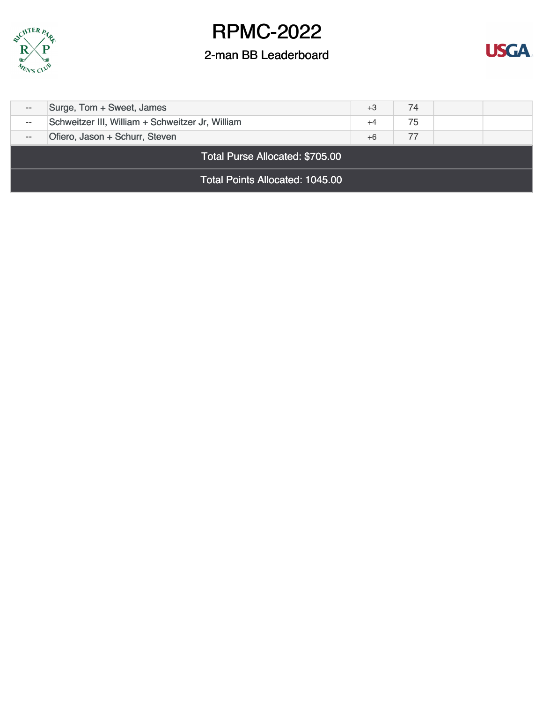



| $- -$ | Surge, Tom + Sweet, James                        |      |    |  |  |  |
|-------|--------------------------------------------------|------|----|--|--|--|
| $- -$ | Schweitzer III, William + Schweitzer Jr, William |      |    |  |  |  |
|       | Ofiero, Jason + Schurr, Steven                   | $+6$ | 77 |  |  |  |
|       | <b>Total Purse Allocated: \$705.00</b>           |      |    |  |  |  |
|       | <b>Total Points Allocated: 1045.00</b>           |      |    |  |  |  |